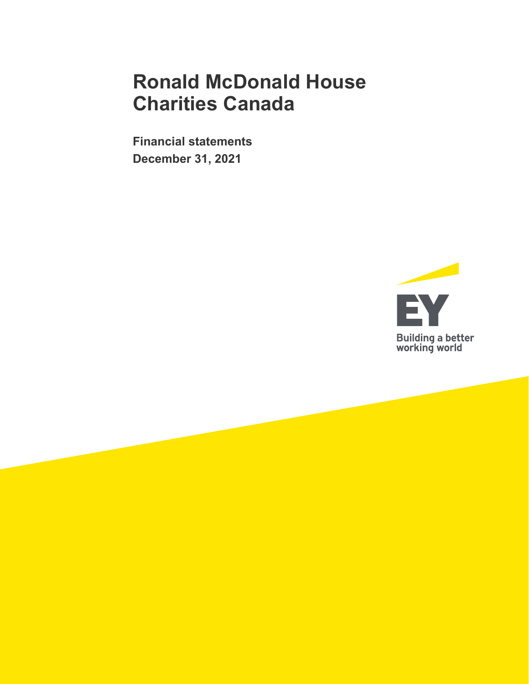**Financial statements December 31, 2021** 

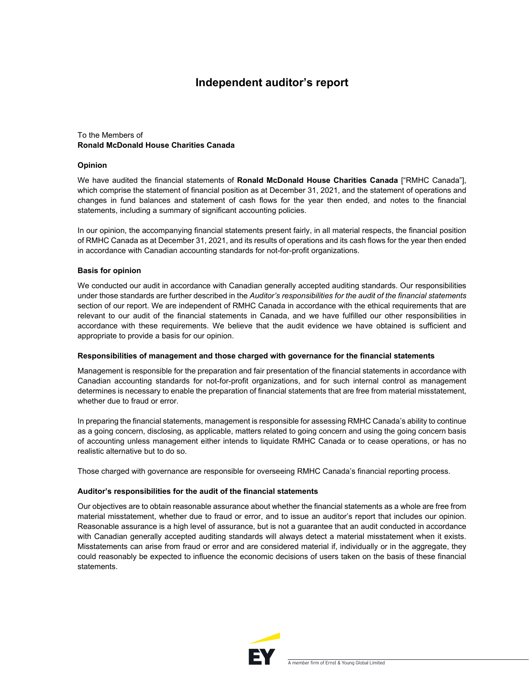## **Independent auditor's report**

## To the Members of **Ronald McDonald House Charities Canada**

#### **Opinion**

We have audited the financial statements of **Ronald McDonald House Charities Canada** ["RMHC Canada"], which comprise the statement of financial position as at December 31, 2021, and the statement of operations and changes in fund balances and statement of cash flows for the year then ended, and notes to the financial statements, including a summary of significant accounting policies.

In our opinion, the accompanying financial statements present fairly, in all material respects, the financial position of RMHC Canada as at December 31, 2021, and its results of operations and its cash flows for the year then ended in accordance with Canadian accounting standards for not-for-profit organizations.

#### **Basis for opinion**

We conducted our audit in accordance with Canadian generally accepted auditing standards. Our responsibilities under those standards are further described in the *Auditor's responsibilities for the audit of the financial statements* section of our report. We are independent of RMHC Canada in accordance with the ethical requirements that are relevant to our audit of the financial statements in Canada, and we have fulfilled our other responsibilities in accordance with these requirements. We believe that the audit evidence we have obtained is sufficient and appropriate to provide a basis for our opinion.

#### **Responsibilities of management and those charged with governance for the financial statements**

Management is responsible for the preparation and fair presentation of the financial statements in accordance with Canadian accounting standards for not-for-profit organizations, and for such internal control as management determines is necessary to enable the preparation of financial statements that are free from material misstatement, whether due to fraud or error.

In preparing the financial statements, management is responsible for assessing RMHC Canada's ability to continue as a going concern, disclosing, as applicable, matters related to going concern and using the going concern basis of accounting unless management either intends to liquidate RMHC Canada or to cease operations, or has no realistic alternative but to do so.

Those charged with governance are responsible for overseeing RMHC Canada's financial reporting process.

#### **Auditor's responsibilities for the audit of the financial statements**

Our objectives are to obtain reasonable assurance about whether the financial statements as a whole are free from material misstatement, whether due to fraud or error, and to issue an auditor's report that includes our opinion. Reasonable assurance is a high level of assurance, but is not a guarantee that an audit conducted in accordance with Canadian generally accepted auditing standards will always detect a material misstatement when it exists. Misstatements can arise from fraud or error and are considered material if, individually or in the aggregate, they could reasonably be expected to influence the economic decisions of users taken on the basis of these financial statements.

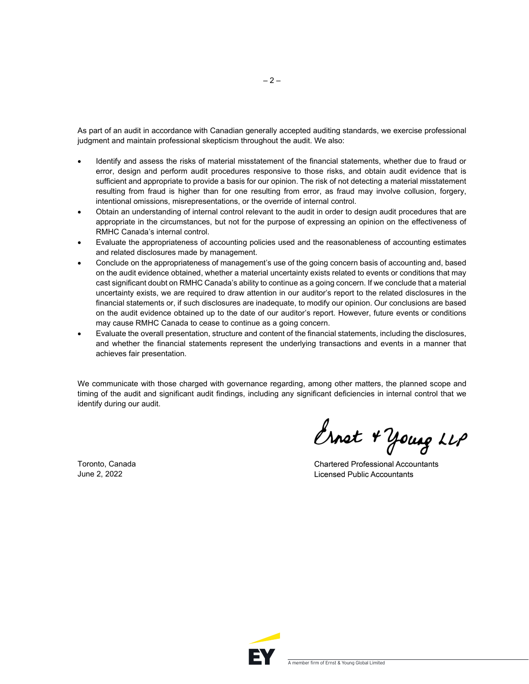As part of an audit in accordance with Canadian generally accepted auditing standards, we exercise professional judgment and maintain professional skepticism throughout the audit. We also:

- Identify and assess the risks of material misstatement of the financial statements, whether due to fraud or error, design and perform audit procedures responsive to those risks, and obtain audit evidence that is sufficient and appropriate to provide a basis for our opinion. The risk of not detecting a material misstatement resulting from fraud is higher than for one resulting from error, as fraud may involve collusion, forgery, intentional omissions, misrepresentations, or the override of internal control.
- Obtain an understanding of internal control relevant to the audit in order to design audit procedures that are appropriate in the circumstances, but not for the purpose of expressing an opinion on the effectiveness of RMHC Canada's internal control.
- Evaluate the appropriateness of accounting policies used and the reasonableness of accounting estimates and related disclosures made by management.
- Conclude on the appropriateness of management's use of the going concern basis of accounting and, based on the audit evidence obtained, whether a material uncertainty exists related to events or conditions that may cast significant doubt on RMHC Canada's ability to continue as a going concern. If we conclude that a material uncertainty exists, we are required to draw attention in our auditor's report to the related disclosures in the financial statements or, if such disclosures are inadequate, to modify our opinion. Our conclusions are based on the audit evidence obtained up to the date of our auditor's report. However, future events or conditions may cause RMHC Canada to cease to continue as a going concern.
- Evaluate the overall presentation, structure and content of the financial statements, including the disclosures, and whether the financial statements represent the underlying transactions and events in a manner that achieves fair presentation.

We communicate with those charged with governance regarding, among other matters, the planned scope and timing of the audit and significant audit findings, including any significant deficiencies in internal control that we identify during our audit.

Toronto, Canada June 2, 2022

Ernet + Young LLP

**Chartered Professional Accountants Licensed Public Accountants** 

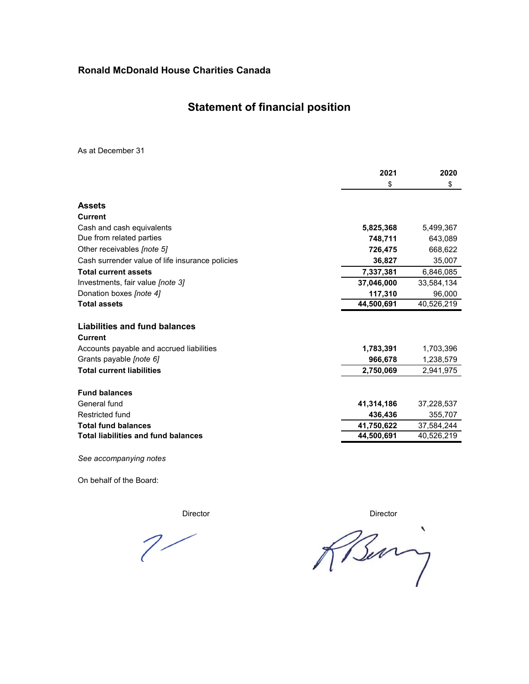## **Statement of financial position**

As at December 31

|                                                 | 2021                     | 2020                     |
|-------------------------------------------------|--------------------------|--------------------------|
|                                                 | \$                       | \$                       |
| Assets                                          |                          |                          |
| Current                                         |                          |                          |
| Cash and cash equivalents                       | 5,825,368                | 5,499,367                |
| Due from related parties                        | 748,711                  | 643,089                  |
| Other receivables [note 5]                      | 726,475                  | 668,622                  |
| Cash surrender value of life insurance policies | 36,827                   | 35,007                   |
| <b>Total current assets</b>                     | 7,337,381                | 6,846,085                |
| Investments, fair value <i>[note 3]</i>         | 37,046,000               | 33,584,134               |
| Donation boxes [note 4]                         | 117,310                  | 96,000                   |
| Total assets                                    | 44,500,691               | 40,526,219               |
| <b>Liabilities and fund balances</b>            |                          |                          |
| Current                                         |                          |                          |
| Accounts payable and accrued liabilities        | 1,783,391                | 1,703,396                |
| Grants payable <i>[note 6]</i>                  | 966,678                  | 1,238,579                |
| <b>Total current liabilities</b>                | 2,750,069                | 2,941,975                |
| <b>Fund balances</b>                            |                          |                          |
| General fund                                    | 41,314,186               |                          |
| Restricted fund                                 |                          | 37,228,537               |
| <b>Total fund balances</b>                      | 436,436                  | 355,707                  |
| <b>Total liabilities and fund balances</b>      | 41,750,622<br>44,500,691 | 37,584,244<br>40,526,219 |
|                                                 |                          |                          |

*See accompanying notes*

On behalf of the Board:

Director **Director** Director

 $7/$ 

RBeny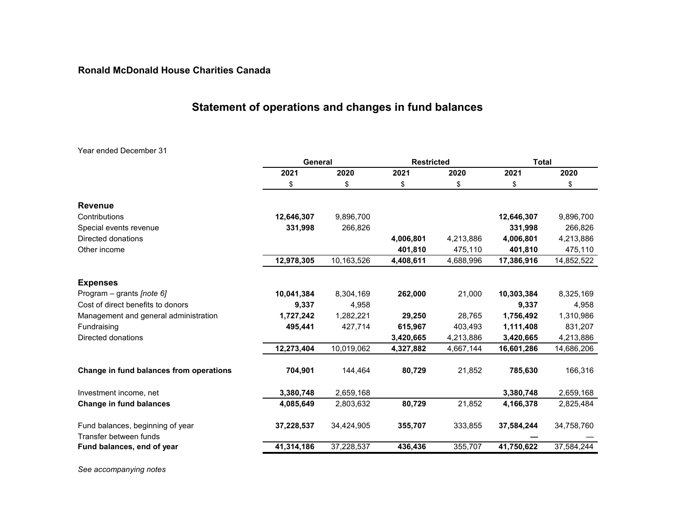## **Statement of operations and changes in fund balances**

Year ended December 31

|                                                            | General    |            | <b>Restricted</b> |           | <b>Total</b> |            |
|------------------------------------------------------------|------------|------------|-------------------|-----------|--------------|------------|
|                                                            | 2021       | 2020       | 2021              | 2020      | 2021         | 2020       |
|                                                            | \$         | \$         | \$                | \$        | \$           | \$         |
| <b>Revenue</b>                                             |            |            |                   |           |              |            |
| Contributions                                              | 12,646,307 | 9,896,700  |                   |           | 12,646,307   | 9,896,700  |
| Special events revenue                                     | 331,998    | 266,826    |                   |           | 331,998      | 266,826    |
| Directed donations                                         |            |            | 4,006,801         | 4,213,886 | 4,006,801    | 4,213,886  |
| Other income                                               |            |            | 401,810           | 475,110   | 401,810      | 475,110    |
|                                                            | 12,978,305 | 10,163,526 | 4,408,611         | 4,688,996 | 17,386,916   | 14,852,522 |
| <b>Expenses</b>                                            |            |            |                   |           |              |            |
| Program – grants [note 6]                                  | 10,041,384 | 8,304,169  | 262,000           | 21,000    | 10,303,384   | 8,325,169  |
| Cost of direct benefits to donors                          | 9,337      | 4,958      |                   |           | 9,337        | 4,958      |
| Management and general administration                      | 1,727,242  | 1,282,221  | 29,250            | 28,765    | 1,756,492    | 1,310,986  |
| Fundraising                                                | 495,441    | 427,714    | 615,967           | 403,493   | 1,111,408    | 831,207    |
| Directed donations                                         |            |            | 3,420,665         | 4,213,886 | 3,420,665    | 4,213,886  |
|                                                            | 12,273,404 | 10,019,062 | 4,327,882         | 4,667,144 | 16,601,286   | 14,686,206 |
| Change in fund balances from operations                    | 704,901    | 144,464    | 80,729            | 21,852    | 785,630      | 166,316    |
| Investment income, net                                     | 3,380,748  | 2,659,168  |                   |           | 3,380,748    | 2,659,168  |
| <b>Change in fund balances</b>                             | 4,085,649  | 2,803,632  | 80,729            | 21,852    | 4,166,378    | 2,825,484  |
| Fund balances, beginning of year<br>Transfer between funds | 37,228,537 | 34,424,905 | 355,707           | 333,855   | 37,584,244   | 34,758,760 |
| Fund balances, end of year                                 | 41,314,186 | 37,228,537 | 436,436           | 355,707   | 41,750,622   | 37,584,244 |
|                                                            |            |            |                   |           |              |            |

*See accompanying notes*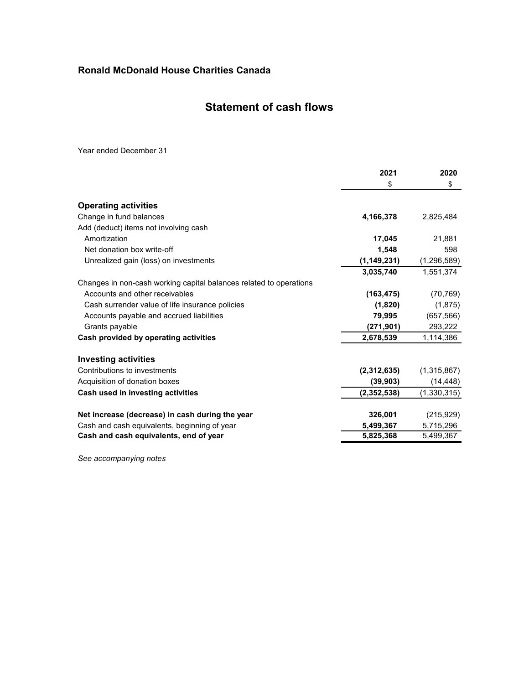## **Statement of cash flows**

Year ended December 31

|                                                                    | 2021          | 2020          |
|--------------------------------------------------------------------|---------------|---------------|
|                                                                    | \$            | \$            |
| <b>Operating activities</b>                                        |               |               |
| Change in fund balances                                            | 4,166,378     | 2,825,484     |
| Add (deduct) items not involving cash                              |               |               |
| Amortization                                                       | 17,045        | 21,881        |
| Net donation box write-off                                         | 1,548         | 598           |
| Unrealized gain (loss) on investments                              | (1, 149, 231) | (1, 296, 589) |
|                                                                    | 3,035,740     | 1,551,374     |
| Changes in non-cash working capital balances related to operations |               |               |
| Accounts and other receivables                                     | (163, 475)    | (70, 769)     |
| Cash surrender value of life insurance policies                    | (1,820)       | (1,875)       |
| Accounts payable and accrued liabilities                           | 79,995        | (657, 566)    |
| Grants payable                                                     | (271, 901)    | 293,222       |
| Cash provided by operating activities                              | 2,678,539     | 1,114,386     |
| <b>Investing activities</b>                                        |               |               |
| Contributions to investments                                       | (2,312,635)   | (1,315,867)   |
| Acquisition of donation boxes                                      | (39, 903)     | (14, 448)     |
| Cash used in investing activities                                  | (2,352,538)   | (1,330,315)   |
| Net increase (decrease) in cash during the year                    | 326,001       | (215, 929)    |
| Cash and cash equivalents, beginning of year                       | 5,499,367     | 5,715,296     |
| Cash and cash equivalents, end of year                             | 5,825,368     | 5,499,367     |
|                                                                    |               |               |

*See accompanying notes*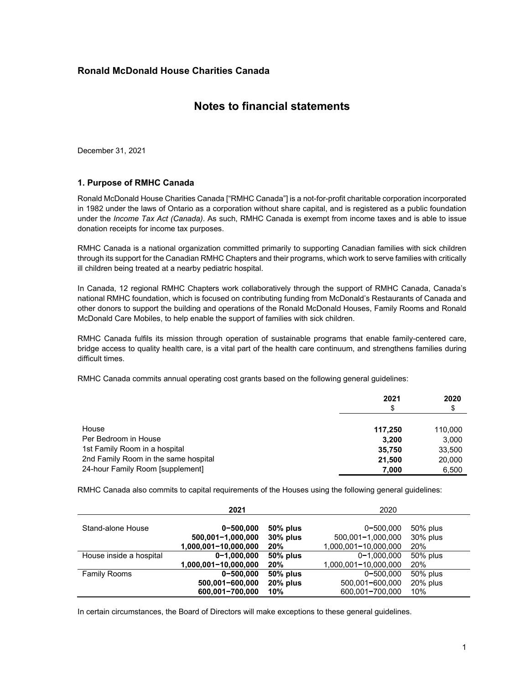## **Notes to financial statements**

December 31, 2021

## **1. Purpose of RMHC Canada**

Ronald McDonald House Charities Canada ["RMHC Canada"] is a not-for-profit charitable corporation incorporated in 1982 under the laws of Ontario as a corporation without share capital, and is registered as a public foundation under the *Income Tax Act (Canada)*. As such, RMHC Canada is exempt from income taxes and is able to issue donation receipts for income tax purposes.

RMHC Canada is a national organization committed primarily to supporting Canadian families with sick children through its support for the Canadian RMHC Chapters and their programs, which work to serve families with critically ill children being treated at a nearby pediatric hospital.

In Canada, 12 regional RMHC Chapters work collaboratively through the support of RMHC Canada, Canada's national RMHC foundation, which is focused on contributing funding from McDonald's Restaurants of Canada and other donors to support the building and operations of the Ronald McDonald Houses, Family Rooms and Ronald McDonald Care Mobiles, to help enable the support of families with sick children.

RMHC Canada fulfils its mission through operation of sustainable programs that enable family-centered care, bridge access to quality health care, is a vital part of the health care continuum, and strengthens families during difficult times.

RMHC Canada commits annual operating cost grants based on the following general guidelines:

|                                      | 2021<br>\$ | 2020<br>\$ |
|--------------------------------------|------------|------------|
| House                                | 117.250    | 110,000    |
| Per Bedroom in House                 | 3,200      | 3,000      |
| 1st Family Room in a hospital        | 35,750     | 33,500     |
| 2nd Family Room in the same hospital | 21.500     | 20,000     |
| 24-hour Family Room [supplement]     | 7,000      | 6,500      |

RMHC Canada also commits to capital requirements of the Houses using the following general guidelines:

|                         | 2021                 |             | 2020                 |          |
|-------------------------|----------------------|-------------|----------------------|----------|
|                         |                      |             |                      |          |
| Stand-alone House       | $0 - 500,000$        | $50\%$ plus | $0 - 500,000$        | 50% plus |
|                         | 500,001-1,000,000    | $30\%$ plus | 500,001-1,000,000    | 30% plus |
|                         | 1,000,001-10,000,000 | 20%         | 1,000,001-10,000,000 | 20%      |
| House inside a hospital | $0 - 1,000,000$      | 50% plus    | $0 - 1,000,000$      | 50% plus |
|                         | 1,000,001-10,000,000 | $20\%$      | 1,000,001-10,000,000 | 20%      |
| <b>Family Rooms</b>     | $0 - 500,000$        | 50% plus    | 0-500,000            | 50% plus |
|                         | 500,001-600,000      | 20% plus    | 500,001-600,000      | 20% plus |
|                         | 600.001-700.000      | 10%         | 600.001-700.000      | 10%      |

In certain circumstances, the Board of Directors will make exceptions to these general guidelines.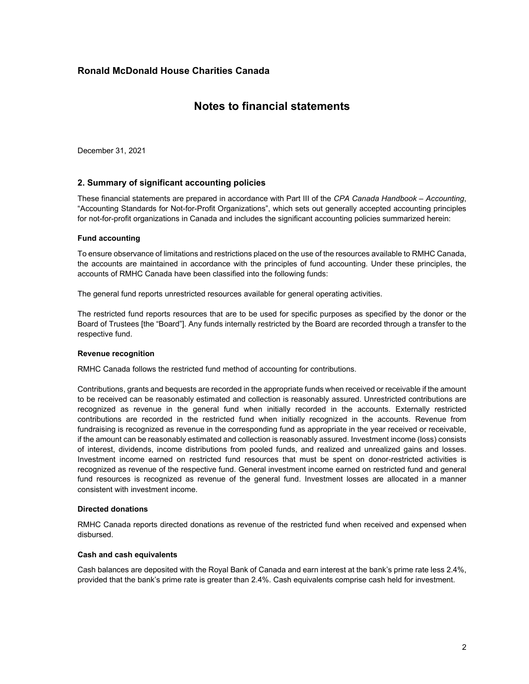## **Notes to financial statements**

December 31, 2021

## **2. Summary of significant accounting policies**

These financial statements are prepared in accordance with Part III of the *CPA Canada Handbook – Accounting*, "Accounting Standards for Not-for-Profit Organizations", which sets out generally accepted accounting principles for not-for-profit organizations in Canada and includes the significant accounting policies summarized herein:

#### **Fund accounting**

To ensure observance of limitations and restrictions placed on the use of the resources available to RMHC Canada, the accounts are maintained in accordance with the principles of fund accounting. Under these principles, the accounts of RMHC Canada have been classified into the following funds:

The general fund reports unrestricted resources available for general operating activities.

The restricted fund reports resources that are to be used for specific purposes as specified by the donor or the Board of Trustees [the "Board"]. Any funds internally restricted by the Board are recorded through a transfer to the respective fund.

#### **Revenue recognition**

RMHC Canada follows the restricted fund method of accounting for contributions.

Contributions, grants and bequests are recorded in the appropriate funds when received or receivable if the amount to be received can be reasonably estimated and collection is reasonably assured. Unrestricted contributions are recognized as revenue in the general fund when initially recorded in the accounts. Externally restricted contributions are recorded in the restricted fund when initially recognized in the accounts. Revenue from fundraising is recognized as revenue in the corresponding fund as appropriate in the year received or receivable, if the amount can be reasonably estimated and collection is reasonably assured. Investment income (loss) consists of interest, dividends, income distributions from pooled funds, and realized and unrealized gains and losses. Investment income earned on restricted fund resources that must be spent on donor-restricted activities is recognized as revenue of the respective fund. General investment income earned on restricted fund and general fund resources is recognized as revenue of the general fund. Investment losses are allocated in a manner consistent with investment income.

#### **Directed donations**

RMHC Canada reports directed donations as revenue of the restricted fund when received and expensed when disbursed.

#### **Cash and cash equivalents**

Cash balances are deposited with the Royal Bank of Canada and earn interest at the bank's prime rate less 2.4%, provided that the bank's prime rate is greater than 2.4%. Cash equivalents comprise cash held for investment.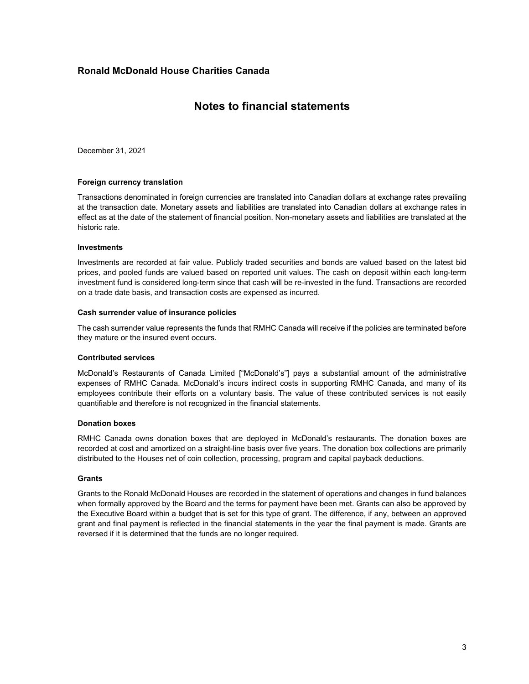## **Notes to financial statements**

December 31, 2021

#### **Foreign currency translation**

Transactions denominated in foreign currencies are translated into Canadian dollars at exchange rates prevailing at the transaction date. Monetary assets and liabilities are translated into Canadian dollars at exchange rates in effect as at the date of the statement of financial position. Non-monetary assets and liabilities are translated at the historic rate.

#### **Investments**

Investments are recorded at fair value. Publicly traded securities and bonds are valued based on the latest bid prices, and pooled funds are valued based on reported unit values. The cash on deposit within each long-term investment fund is considered long-term since that cash will be re-invested in the fund. Transactions are recorded on a trade date basis, and transaction costs are expensed as incurred.

#### **Cash surrender value of insurance policies**

The cash surrender value represents the funds that RMHC Canada will receive if the policies are terminated before they mature or the insured event occurs.

#### **Contributed services**

McDonald's Restaurants of Canada Limited ["McDonald's"] pays a substantial amount of the administrative expenses of RMHC Canada. McDonald's incurs indirect costs in supporting RMHC Canada, and many of its employees contribute their efforts on a voluntary basis. The value of these contributed services is not easily quantifiable and therefore is not recognized in the financial statements.

## **Donation boxes**

RMHC Canada owns donation boxes that are deployed in McDonald's restaurants. The donation boxes are recorded at cost and amortized on a straight-line basis over five years. The donation box collections are primarily distributed to the Houses net of coin collection, processing, program and capital payback deductions.

#### **Grants**

Grants to the Ronald McDonald Houses are recorded in the statement of operations and changes in fund balances when formally approved by the Board and the terms for payment have been met. Grants can also be approved by the Executive Board within a budget that is set for this type of grant. The difference, if any, between an approved grant and final payment is reflected in the financial statements in the year the final payment is made. Grants are reversed if it is determined that the funds are no longer required.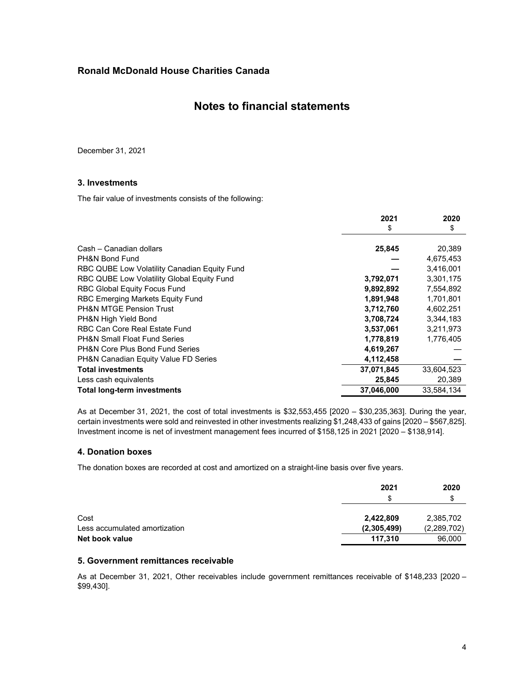## **Notes to financial statements**

December 31, 2021

## **3. Investments**

The fair value of investments consists of the following:

|                                                 | 2021       | 2020       |
|-------------------------------------------------|------------|------------|
|                                                 | \$         | \$         |
| Cash – Canadian dollars                         | 25,845     | 20,389     |
| PH&N Bond Fund                                  |            | 4,675,453  |
| RBC QUBE Low Volatility Canadian Equity Fund    |            | 3,416,001  |
| RBC QUBE Low Volatility Global Equity Fund      | 3,792,071  | 3,301,175  |
| <b>RBC Global Equity Focus Fund</b>             | 9,892,892  | 7,554,892  |
| <b>RBC Emerging Markets Equity Fund</b>         | 1,891,948  | 1,701,801  |
| <b>PH&amp;N MTGE Pension Trust</b>              | 3,712,760  | 4,602,251  |
| PH&N High Yield Bond                            | 3,708,724  | 3,344,183  |
| RBC Can Core Real Estate Fund                   | 3,537,061  | 3,211,973  |
| <b>PH&amp;N Small Float Fund Series</b>         | 1,778,819  | 1,776,405  |
| <b>PH&amp;N Core Plus Bond Fund Series</b>      | 4,619,267  |            |
| <b>PH&amp;N Canadian Equity Value FD Series</b> | 4,112,458  |            |
| <b>Total investments</b>                        | 37,071,845 | 33,604,523 |
| Less cash equivalents                           | 25,845     | 20,389     |
| Total long-term investments                     | 37,046,000 | 33.584.134 |

As at December 31, 2021, the cost of total investments is \$32,553,455 [2020 – \$30,235,363]. During the year, certain investments were sold and reinvested in other investments realizing \$1,248,433 of gains [2020 – \$567,825]. Investment income is net of investment management fees incurred of \$158,125 in 2021 [2020 – \$138,914].

## **4. Donation boxes**

The donation boxes are recorded at cost and amortized on a straight-line basis over five years.

|                                       | 2021<br>\$               | 2020<br>\$               |
|---------------------------------------|--------------------------|--------------------------|
| Cost<br>Less accumulated amortization | 2,422,809<br>(2,305,499) | 2,385,702<br>(2,289,702) |
| Net book value                        | 117.310                  | 96,000                   |

## **5. Government remittances receivable**

As at December 31, 2021, Other receivables include government remittances receivable of \$148,233 [2020 – \$99,430].